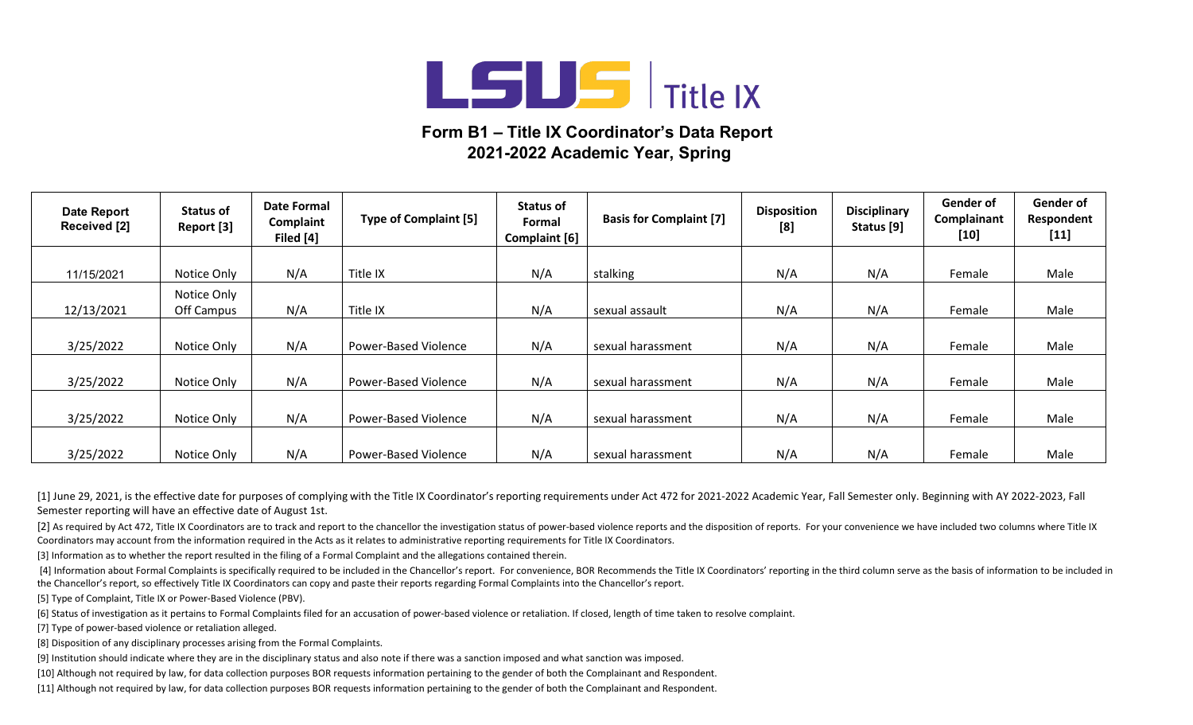

## **Form B1 – Title IX Coordinator's Data Report 2021-2022 Academic Year, Spring**

| <b>Date Report</b><br>Received [2] | Status of<br>Report [3] | Date Formal<br>Complaint<br>Filed [4] | <b>Type of Complaint [5]</b> | Status of<br>Formal<br><b>Complaint [6]</b> | <b>Basis for Complaint [7]</b> | <b>Disposition</b><br>[8] | <b>Disciplinary</b><br>Status [9] | Gender of<br>Complainant<br>[10] | Gender of<br>Respondent<br>$[11]$ |
|------------------------------------|-------------------------|---------------------------------------|------------------------------|---------------------------------------------|--------------------------------|---------------------------|-----------------------------------|----------------------------------|-----------------------------------|
|                                    |                         |                                       |                              |                                             |                                |                           |                                   |                                  |                                   |
| 11/15/2021                         | Notice Only             | N/A                                   | Title IX                     | N/A                                         | stalking                       | N/A                       | N/A                               | Female                           | Male                              |
|                                    | Notice Only             |                                       |                              |                                             |                                |                           |                                   |                                  |                                   |
| 12/13/2021                         | Off Campus              | N/A                                   | Title IX                     | N/A                                         | sexual assault                 | N/A                       | N/A                               | Female                           | Male                              |
|                                    |                         |                                       |                              |                                             |                                |                           |                                   |                                  |                                   |
| 3/25/2022                          | Notice Only             | N/A                                   | Power-Based Violence         | N/A                                         | sexual harassment              | N/A                       | N/A                               | Female                           | Male                              |
|                                    |                         |                                       |                              |                                             |                                |                           |                                   |                                  |                                   |
| 3/25/2022                          | Notice Only             | N/A                                   | Power-Based Violence         | N/A                                         | sexual harassment              | N/A                       | N/A                               | Female                           | Male                              |
|                                    |                         |                                       |                              |                                             |                                |                           |                                   |                                  |                                   |
| 3/25/2022                          | Notice Only             | N/A                                   | <b>Power-Based Violence</b>  | N/A                                         | sexual harassment              | N/A                       | N/A                               | Female                           | Male                              |
|                                    |                         |                                       |                              |                                             |                                |                           |                                   |                                  |                                   |
| 3/25/2022                          | Notice Only             | N/A                                   | <b>Power-Based Violence</b>  | N/A                                         | sexual harassment              | N/A                       | N/A                               | Female                           | Male                              |

[1] June 29, 2021, is the effective date for purposes of complying with the Title IX Coordinator's reporting requirements under Act 472 for 2021-2022 Academic Year, Fall Semester only. Beginning with AY 2022-2023, Fall Semester reporting will have an effective date of August 1st.

[2] As required by Act 472, Title IX Coordinators are to track and report to the chancellor the investigation status of power-based violence reports and the disposition of reports. For your convenience we have included two Coordinators may account from the information required in the Acts as it relates to administrative reporting requirements for Title IX Coordinators.

[3] Information as to whether the report resulted in the filing of a Formal Complaint and the allegations contained therein.

[4] Information about Formal Complaints is specifically required to be included in the Chancellor's report. For convenience, BOR Recommends the Title IX Coordinators' reporting in the third column serve as the basis of inf the Chancellor's report, so effectively Title IX Coordinators can copy and paste their reports regarding Formal Complaints into the Chancellor's report.

[5] Type of Complaint, Title IX or Power-Based Violence (PBV).

[6] Status of investigation as it pertains to Formal Complaints filed for an accusation of power-based violence or retaliation. If closed, length of time taken to resolve complaint.

[7] Type of power-based violence or retaliation alleged.

[8] Disposition of any disciplinary processes arising from the Formal Complaints.

[9] Institution should indicate where they are in the disciplinary status and also note if there was a sanction imposed and what sanction was imposed.

[10] Although not required by law, for data collection purposes BOR requests information pertaining to the gender of both the Complainant and Respondent.

[11] Although not required by law, for data collection purposes BOR requests information pertaining to the gender of both the Complainant and Respondent.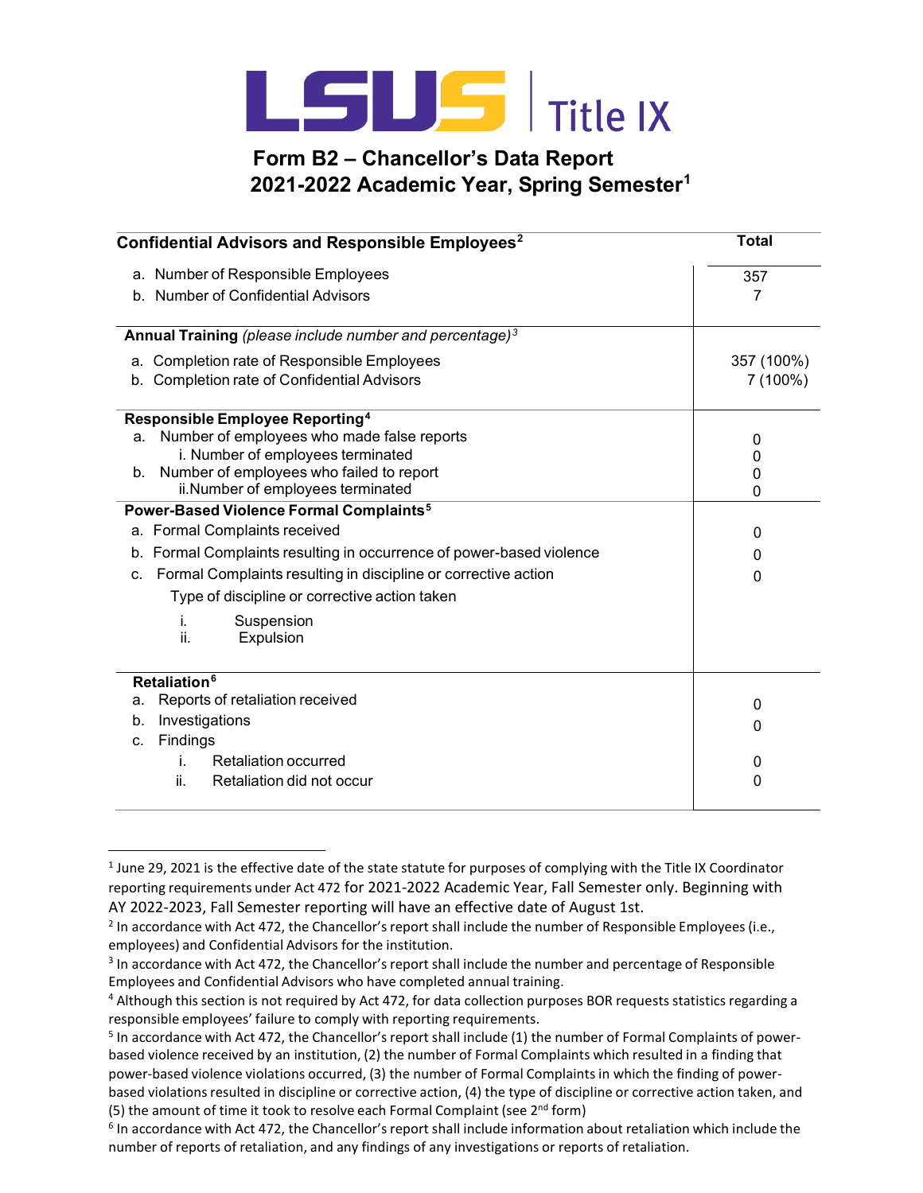

## **Form B2 – Chancellor's Data Report 2021-2022 Academic Year, Spring Semester1**

| Confidential Advisors and Responsible Employees <sup>2</sup>                                 | <b>Total</b>      |
|----------------------------------------------------------------------------------------------|-------------------|
| a. Number of Responsible Employees                                                           | 357               |
| b. Number of Confidential Advisors                                                           | 7                 |
| Annual Training (please include number and percentage) <sup>3</sup>                          |                   |
| <b>Completion rate of Responsible Employees</b><br>а.                                        | 357 (100%)        |
| <b>Completion rate of Confidential Advisors</b><br>b.                                        | 7 (100%)          |
| Responsible Employee Reporting <sup>4</sup>                                                  |                   |
| Number of employees who made false reports<br>a.                                             | 0                 |
| i. Number of employees terminated                                                            | 0                 |
| Number of employees who failed to report<br>$b_{\cdot}$<br>ii.Number of employees terminated | 0<br>$\mathbf{0}$ |
| Power-Based Violence Formal Complaints <sup>5</sup>                                          |                   |
| a. Formal Complaints received                                                                | 0                 |
| b. Formal Complaints resulting in occurrence of power-based violence                         | 0                 |
| Formal Complaints resulting in discipline or corrective action<br>C.                         | 0                 |
| Type of discipline or corrective action taken                                                |                   |
| i.<br>Suspension                                                                             |                   |
| ii.<br>Expulsion                                                                             |                   |
| Retaliation <sup>6</sup>                                                                     |                   |
| Reports of retaliation received<br>a.                                                        | 0                 |
| Investigations<br>b.                                                                         | 0                 |
| Findings<br>C.                                                                               |                   |
| Retaliation occurred<br>İ.                                                                   | 0                 |
| Retaliation did not occur<br>ii.                                                             | 0                 |

<sup>&</sup>lt;sup>1</sup> June 29, 2021 is the effective date of the state statute for purposes of complying with the Title IX Coordinator reporting requirements under Act 472 for 2021-2022 Academic Year, Fall Semester only. Beginning with AY 2022-2023, Fall Semester reporting will have an effective date of August 1st.

 $<sup>2</sup>$  In accordance with Act 472, the Chancellor's report shall include the number of Responsible Employees (i.e.,</sup> employees) and Confidential Advisors for the institution.

<sup>&</sup>lt;sup>3</sup> In accordance with Act 472, the Chancellor's report shall include the number and percentage of Responsible Employees and Confidential Advisors who have completed annual training.

<sup>4</sup> Although this section is not required by Act 472, for data collection purposes BOR requests statistics regarding a responsible employees' failure to comply with reporting requirements.

<sup>&</sup>lt;sup>5</sup> In accordance with Act 472, the Chancellor's report shall include (1) the number of Formal Complaints of powerbased violence received by an institution, (2) the number of Formal Complaints which resulted in a finding that power-based violence violations occurred, (3) the number of Formal Complaints in which the finding of power-

based violations resulted in discipline or corrective action, (4) the type of discipline or corrective action taken, and (5) the amount of time it took to resolve each Formal Complaint (see  $2^{nd}$  form)

 $6$  In accordance with Act 472, the Chancellor's report shall include information about retaliation which include the number of reports of retaliation, and any findings of any investigations or reports of retaliation.